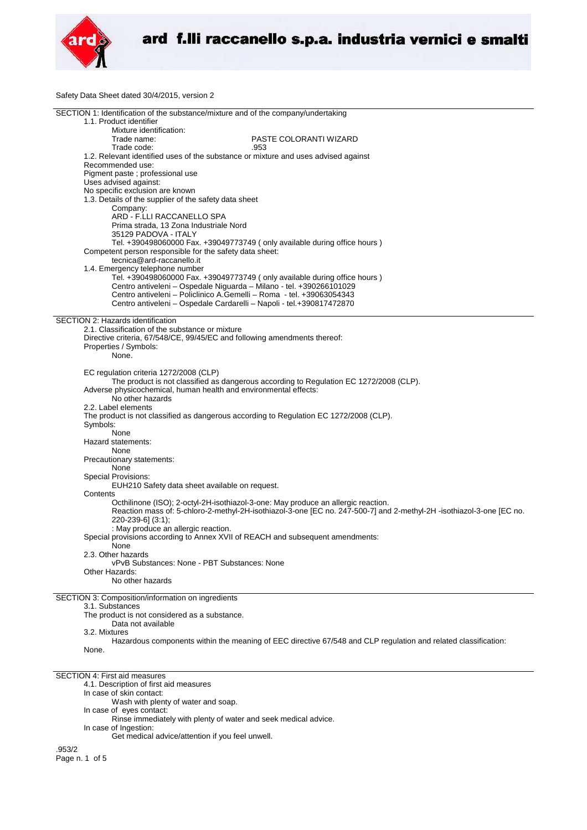

Safety Data Sheet dated 30/4/2015, version 2

| SECTION 1: Identification of the substance/mixture and of the company/undertaking      |                                                                                                                      |
|----------------------------------------------------------------------------------------|----------------------------------------------------------------------------------------------------------------------|
| 1.1. Product identifier                                                                |                                                                                                                      |
|                                                                                        |                                                                                                                      |
| Mixture identification:                                                                |                                                                                                                      |
| Trade name:                                                                            | PASTE COLORANTI WIZARD                                                                                               |
| Trade code:                                                                            | .953                                                                                                                 |
|                                                                                        |                                                                                                                      |
| 1.2. Relevant identified uses of the substance or mixture and uses advised against     |                                                                                                                      |
| Recommended use:                                                                       |                                                                                                                      |
| Pigment paste ; professional use                                                       |                                                                                                                      |
| Uses advised against:                                                                  |                                                                                                                      |
|                                                                                        |                                                                                                                      |
| No specific exclusion are known                                                        |                                                                                                                      |
| 1.3. Details of the supplier of the safety data sheet                                  |                                                                                                                      |
| Company:                                                                               |                                                                                                                      |
|                                                                                        |                                                                                                                      |
| ARD - F.LLI RACCANELLO SPA                                                             |                                                                                                                      |
| Prima strada, 13 Zona Industriale Nord                                                 |                                                                                                                      |
| 35129 PADOVA - ITALY                                                                   |                                                                                                                      |
|                                                                                        |                                                                                                                      |
|                                                                                        | Tel. +390498060000 Fax. +39049773749 (only available during office hours)                                            |
| Competent person responsible for the safety data sheet:                                |                                                                                                                      |
| tecnica@ard-raccanello.it                                                              |                                                                                                                      |
| 1.4. Emergency telephone number                                                        |                                                                                                                      |
|                                                                                        |                                                                                                                      |
|                                                                                        | Tel. +390498060000 Fax. +39049773749 (only available during office hours)                                            |
| Centro antiveleni - Ospedale Niguarda - Milano - tel. +390266101029                    |                                                                                                                      |
| Centro antiveleni - Policlinico A.Gemelli - Roma - tel. +39063054343                   |                                                                                                                      |
|                                                                                        |                                                                                                                      |
| Centro antiveleni - Ospedale Cardarelli - Napoli - tel.+390817472870                   |                                                                                                                      |
|                                                                                        |                                                                                                                      |
| SECTION 2: Hazards identification                                                      |                                                                                                                      |
|                                                                                        |                                                                                                                      |
| 2.1. Classification of the substance or mixture                                        |                                                                                                                      |
| Directive criteria, 67/548/CE, 99/45/EC and following amendments thereof:              |                                                                                                                      |
| Properties / Symbols:                                                                  |                                                                                                                      |
|                                                                                        |                                                                                                                      |
| None.                                                                                  |                                                                                                                      |
|                                                                                        |                                                                                                                      |
| EC regulation criteria 1272/2008 (CLP)                                                 |                                                                                                                      |
|                                                                                        | The product is not classified as dangerous according to Regulation EC 1272/2008 (CLP).                               |
|                                                                                        |                                                                                                                      |
| Adverse physicochemical, human health and environmental effects:                       |                                                                                                                      |
| No other hazards                                                                       |                                                                                                                      |
|                                                                                        |                                                                                                                      |
| 2.2. Label elements                                                                    |                                                                                                                      |
| The product is not classified as dangerous according to Regulation EC 1272/2008 (CLP). |                                                                                                                      |
| Symbols:                                                                               |                                                                                                                      |
| None                                                                                   |                                                                                                                      |
|                                                                                        |                                                                                                                      |
| Hazard statements:                                                                     |                                                                                                                      |
| None                                                                                   |                                                                                                                      |
|                                                                                        |                                                                                                                      |
| Precautionary statements:                                                              |                                                                                                                      |
| None                                                                                   |                                                                                                                      |
| <b>Special Provisions:</b>                                                             |                                                                                                                      |
| EUH210 Safety data sheet available on request.                                         |                                                                                                                      |
|                                                                                        |                                                                                                                      |
| Contents                                                                               |                                                                                                                      |
|                                                                                        | Octhilinone (ISO); 2-octyl-2H-isothiazol-3-one: May produce an allergic reaction.                                    |
|                                                                                        | Reaction mass of: 5-chloro-2-methyl-2H-isothiazol-3-one [EC no. 247-500-7] and 2-methyl-2H -isothiazol-3-one [EC no. |
|                                                                                        |                                                                                                                      |
| 220-239-6] (3:1);                                                                      |                                                                                                                      |
| : May produce an allergic reaction.                                                    |                                                                                                                      |
| Special provisions according to Annex XVII of REACH and subsequent amendments:         |                                                                                                                      |
|                                                                                        |                                                                                                                      |
| None                                                                                   |                                                                                                                      |
| 2.3. Other hazards                                                                     |                                                                                                                      |
| vPvB Substances: None - PBT Substances: None                                           |                                                                                                                      |
|                                                                                        |                                                                                                                      |
| Other Hazards:                                                                         |                                                                                                                      |
| No other hazards                                                                       |                                                                                                                      |
|                                                                                        |                                                                                                                      |
| SECTION 3: Composition/information on ingredients                                      |                                                                                                                      |
|                                                                                        |                                                                                                                      |
| 3.1. Substances                                                                        |                                                                                                                      |
| The product is not considered as a substance.                                          |                                                                                                                      |
| Data not available                                                                     |                                                                                                                      |
|                                                                                        |                                                                                                                      |
| 3.2. Mixtures                                                                          |                                                                                                                      |
|                                                                                        | Hazardous components within the meaning of EEC directive 67/548 and CLP regulation and related classification:       |
| None.                                                                                  |                                                                                                                      |
|                                                                                        |                                                                                                                      |
|                                                                                        |                                                                                                                      |

SECTION 4: First aid measures

4.1. Description of first aid measures

In case of skin contact:

Wash with plenty of water and soap.

- In case of eyes contact:
- Rinse immediately with plenty of water and seek medical advice.
- In case of Ingestion: Get medical advice/attention if you feel unwell.

.953/2 Page n. 1 of 5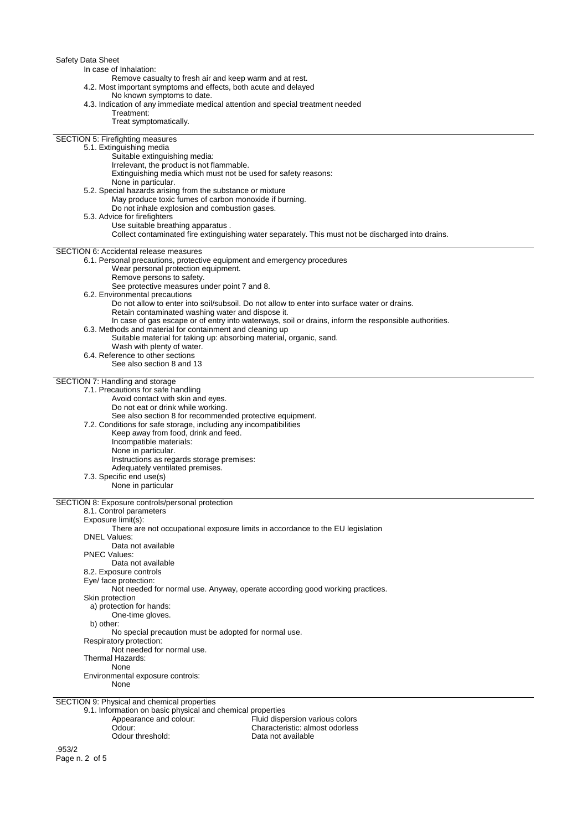| Safety Data Sheet<br>In case of Inhalation:<br>Remove casualty to fresh air and keep warm and at rest.<br>4.2. Most important symptoms and effects, both acute and delayed<br>No known symptoms to date.<br>4.3. Indication of any immediate medical attention and special treatment needed<br>Treatment:<br>Treat symptomatically.<br><b>SECTION 5: Firefighting measures</b>                                                                                                                                                                                                                                                                                                                                                                      |
|-----------------------------------------------------------------------------------------------------------------------------------------------------------------------------------------------------------------------------------------------------------------------------------------------------------------------------------------------------------------------------------------------------------------------------------------------------------------------------------------------------------------------------------------------------------------------------------------------------------------------------------------------------------------------------------------------------------------------------------------------------|
| 5.1. Extinguishing media<br>Suitable extinguishing media:<br>Irrelevant, the product is not flammable.<br>Extinguishing media which must not be used for safety reasons:<br>None in particular.<br>5.2. Special hazards arising from the substance or mixture<br>May produce toxic fumes of carbon monoxide if burning.<br>Do not inhale explosion and combustion gases.<br>5.3. Advice for firefighters<br>Use suitable breathing apparatus.                                                                                                                                                                                                                                                                                                       |
| Collect contaminated fire extinguishing water separately. This must not be discharged into drains.                                                                                                                                                                                                                                                                                                                                                                                                                                                                                                                                                                                                                                                  |
| <b>SECTION 6: Accidental release measures</b><br>6.1. Personal precautions, protective equipment and emergency procedures<br>Wear personal protection equipment.<br>Remove persons to safety.<br>See protective measures under point 7 and 8.<br>6.2. Environmental precautions<br>Do not allow to enter into soil/subsoil. Do not allow to enter into surface water or drains.<br>Retain contaminated washing water and dispose it.<br>In case of gas escape or of entry into waterways, soil or drains, inform the responsible authorities.<br>6.3. Methods and material for containment and cleaning up<br>Suitable material for taking up: absorbing material, organic, sand.<br>Wash with plenty of water.<br>6.4. Reference to other sections |
| See also section 8 and 13                                                                                                                                                                                                                                                                                                                                                                                                                                                                                                                                                                                                                                                                                                                           |
| SECTION 7: Handling and storage                                                                                                                                                                                                                                                                                                                                                                                                                                                                                                                                                                                                                                                                                                                     |
| 7.1. Precautions for safe handling<br>Avoid contact with skin and eyes.<br>Do not eat or drink while working.<br>See also section 8 for recommended protective equipment.<br>7.2. Conditions for safe storage, including any incompatibilities<br>Keep away from food, drink and feed.<br>Incompatible materials:<br>None in particular.<br>Instructions as regards storage premises:<br>Adequately ventilated premises.<br>7.3. Specific end use(s)<br>None in particular                                                                                                                                                                                                                                                                          |
| SECTION 8: Exposure controls/personal protection                                                                                                                                                                                                                                                                                                                                                                                                                                                                                                                                                                                                                                                                                                    |
| 8.1. Control parameters<br>Exposure limit(s):<br>There are not occupational exposure limits in accordance to the EU legislation<br><b>DNEL Values:</b><br>Data not available<br><b>PNEC Values:</b><br>Data not available                                                                                                                                                                                                                                                                                                                                                                                                                                                                                                                           |
| 8.2. Exposure controls<br>Eye/ face protection:<br>Not needed for normal use. Anyway, operate according good working practices.<br>Skin protection<br>a) protection for hands:<br>One-time gloves.                                                                                                                                                                                                                                                                                                                                                                                                                                                                                                                                                  |
| b) other:<br>No special precaution must be adopted for normal use.<br>Respiratory protection:<br>Not needed for normal use.<br>Thermal Hazards:<br>None                                                                                                                                                                                                                                                                                                                                                                                                                                                                                                                                                                                             |
| Environmental exposure controls:                                                                                                                                                                                                                                                                                                                                                                                                                                                                                                                                                                                                                                                                                                                    |
| None                                                                                                                                                                                                                                                                                                                                                                                                                                                                                                                                                                                                                                                                                                                                                |
| SECTION 9: Physical and chemical properties                                                                                                                                                                                                                                                                                                                                                                                                                                                                                                                                                                                                                                                                                                         |
| 9.1. Information on basic physical and chemical properties<br>Appearance and colour:<br>Fluid dispersion various colors<br>Odour:<br>Characteristic: almost odorless<br>Odour threshold:<br>Data not available                                                                                                                                                                                                                                                                                                                                                                                                                                                                                                                                      |
| .953/2                                                                                                                                                                                                                                                                                                                                                                                                                                                                                                                                                                                                                                                                                                                                              |

Page n. 2 of 5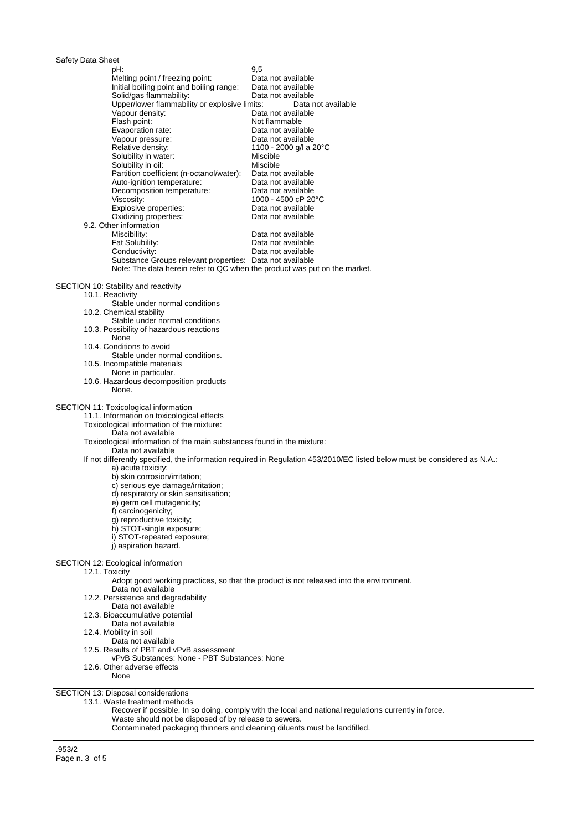| Safety Data Sheet<br>pH:                                                                     | 9,5                                                                                                                       |  |  |
|----------------------------------------------------------------------------------------------|---------------------------------------------------------------------------------------------------------------------------|--|--|
| Melting point / freezing point:                                                              | Data not available                                                                                                        |  |  |
| Initial boiling point and boiling range:                                                     | Data not available                                                                                                        |  |  |
| Solid/gas flammability:                                                                      | Data not available                                                                                                        |  |  |
| Upper/lower flammability or explosive limits:                                                | Data not available                                                                                                        |  |  |
| Vapour density:                                                                              | Data not available                                                                                                        |  |  |
| Flash point:<br>Evaporation rate:                                                            | Not flammable<br>Data not available                                                                                       |  |  |
| Vapour pressure:                                                                             | Data not available                                                                                                        |  |  |
| Relative density:                                                                            | 1100 - 2000 g/l a 20°C                                                                                                    |  |  |
| Solubility in water:                                                                         | Miscible                                                                                                                  |  |  |
| Solubility in oil:                                                                           | Miscible                                                                                                                  |  |  |
| Partition coefficient (n-octanol/water):                                                     | Data not available                                                                                                        |  |  |
| Auto-ignition temperature:<br>Decomposition temperature:                                     | Data not available<br>Data not available                                                                                  |  |  |
| Viscosity:                                                                                   | 1000 - 4500 cP 20°C                                                                                                       |  |  |
| Explosive properties:                                                                        | Data not available                                                                                                        |  |  |
| Oxidizing properties:                                                                        | Data not available                                                                                                        |  |  |
| 9.2. Other information                                                                       |                                                                                                                           |  |  |
| Miscibility:                                                                                 | Data not available                                                                                                        |  |  |
| Fat Solubility:<br>Conductivity:                                                             | Data not available<br>Data not available                                                                                  |  |  |
| Substance Groups relevant properties: Data not available                                     |                                                                                                                           |  |  |
| Note: The data herein refer to QC when the product was put on the market.                    |                                                                                                                           |  |  |
|                                                                                              |                                                                                                                           |  |  |
| SECTION 10: Stability and reactivity                                                         |                                                                                                                           |  |  |
| 10.1. Reactivity<br>Stable under normal conditions                                           |                                                                                                                           |  |  |
| 10.2. Chemical stability                                                                     |                                                                                                                           |  |  |
| Stable under normal conditions                                                               |                                                                                                                           |  |  |
| 10.3. Possibility of hazardous reactions                                                     |                                                                                                                           |  |  |
| None<br>10.4. Conditions to avoid                                                            |                                                                                                                           |  |  |
| Stable under normal conditions.                                                              |                                                                                                                           |  |  |
| 10.5. Incompatible materials                                                                 |                                                                                                                           |  |  |
| None in particular.                                                                          |                                                                                                                           |  |  |
| 10.6. Hazardous decomposition products<br>None.                                              |                                                                                                                           |  |  |
|                                                                                              |                                                                                                                           |  |  |
| SECTION 11: Toxicological information                                                        |                                                                                                                           |  |  |
| 11.1. Information on toxicological effects                                                   |                                                                                                                           |  |  |
|                                                                                              | Toxicological information of the mixture:                                                                                 |  |  |
| Data not available<br>Toxicological information of the main substances found in the mixture: |                                                                                                                           |  |  |
| Data not available                                                                           |                                                                                                                           |  |  |
|                                                                                              | If not differently specified, the information required in Regulation 453/2010/EC listed below must be considered as N.A.: |  |  |
| a) acute toxicity;                                                                           |                                                                                                                           |  |  |
| b) skin corrosion/irritation;                                                                |                                                                                                                           |  |  |
| c) serious eye damage/irritation;<br>d) respiratory or skin sensitisation;                   |                                                                                                                           |  |  |
| e) germ cell mutagenicity;                                                                   |                                                                                                                           |  |  |
| f) carcinogenicity;                                                                          |                                                                                                                           |  |  |
| q) reproductive toxicity;                                                                    |                                                                                                                           |  |  |
| h) STOT-single exposure;                                                                     |                                                                                                                           |  |  |
| i) STOT-repeated exposure;                                                                   |                                                                                                                           |  |  |
| i) aspiration hazard.                                                                        |                                                                                                                           |  |  |
| SECTION 12: Ecological information                                                           |                                                                                                                           |  |  |
| 12.1. Toxicity                                                                               |                                                                                                                           |  |  |
|                                                                                              | Adopt good working practices, so that the product is not released into the environment.                                   |  |  |
| Data not available                                                                           |                                                                                                                           |  |  |
| 12.2. Persistence and degradability<br>Data not available                                    |                                                                                                                           |  |  |
| 12.3. Bioaccumulative potential                                                              |                                                                                                                           |  |  |
| Data not available                                                                           |                                                                                                                           |  |  |
| 12.4. Mobility in soil                                                                       |                                                                                                                           |  |  |
| Data not available                                                                           |                                                                                                                           |  |  |
| 12.5. Results of PBT and vPvB assessment<br>vPvB Substances: None - PBT Substances: None     |                                                                                                                           |  |  |
| 12.6. Other adverse effects                                                                  |                                                                                                                           |  |  |
| None                                                                                         |                                                                                                                           |  |  |
|                                                                                              |                                                                                                                           |  |  |
| SECTION 13: Disposal considerations                                                          |                                                                                                                           |  |  |

13.1. Waste treatment methods

- Recover if possible. In so doing, comply with the local and national regulations currently in force.
- Waste should not be disposed of by release to sewers.
	- Contaminated packaging thinners and cleaning diluents must be landfilled.

.953/2 Page n. 3 of 5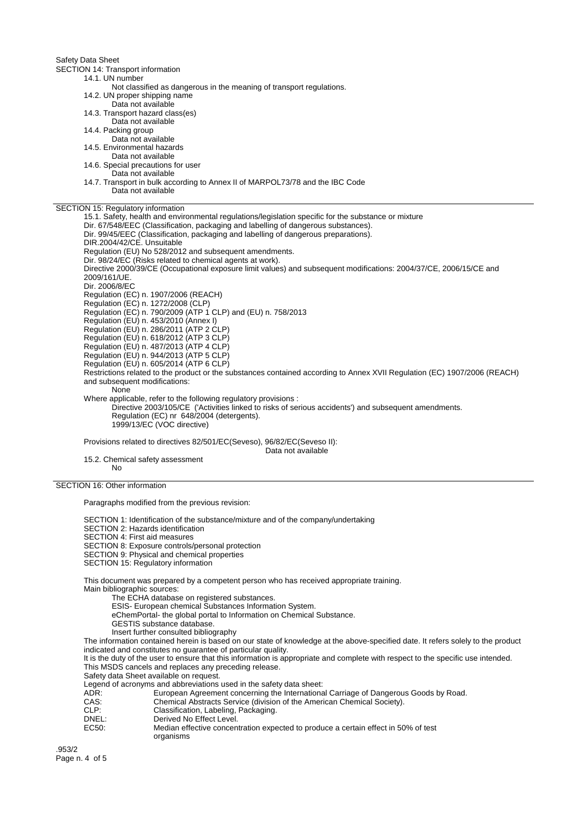Safety Data Sheet

SECTION 14: Transport information 14.1. UN number Not classified as dangerous in the meaning of transport regulations. 14.2. UN proper shipping name Data not available 14.3. Transport hazard class(es) Data not available 14.4. Packing group Data not available 14.5. Environmental hazards Data not available 14.6. Special precautions for user Data not available 14.7. Transport in bulk according to Annex II of MARPOL73/78 and the IBC Code Data not available SECTION 15: Regulatory information 15.1. Safety, health and environmental regulations/legislation specific for the substance or mixture Dir. 67/548/EEC (Classification, packaging and labelling of dangerous substances). Dir. 99/45/EEC (Classification, packaging and labelling of dangerous preparations). DIR.2004/42/CE. Unsuitable Regulation (EU) No 528/2012 and subsequent amendments. Dir. 98/24/EC (Risks related to chemical agents at work). Directive 2000/39/CE (Occupational exposure limit values) and subsequent modifications: 2004/37/CE, 2006/15/CE and 2009/161/UE. Dir. 2006/8/EC Regulation (EC) n. 1907/2006 (REACH) Regulation (EC) n. 1272/2008 (CLP) Regulation (EC) n. 790/2009 (ATP 1 CLP) and (EU) n. 758/2013 Regulation (EU) n. 453/2010 (Annex I) Regulation (EU) n. 286/2011 (ATP 2 CLP) Regulation (EU) n. 618/2012 (ATP 3 CLP) Regulation (EU) n. 487/2013 (ATP 4 CLP) Regulation (EU) n. 944/2013 (ATP 5 CLP) Regulation (EU) n. 605/2014 (ATP 6 CLP) Restrictions related to the product or the substances contained according to Annex XVII Regulation (EC) 1907/2006 (REACH) and subsequent modifications: None Where applicable, refer to the following regulatory provisions : Directive 2003/105/CE ('Activities linked to risks of serious accidents') and subsequent amendments. Regulation (EC) nr 648/2004 (detergents). 1999/13/EC (VOC directive) Provisions related to directives 82/501/EC(Seveso), 96/82/EC(Seveso II): Data not available 15.2. Chemical safety assessment No

SECTION 16: Other information

Paragraphs modified from the previous revision:

SECTION 1: Identification of the substance/mixture and of the company/undertaking

SECTION 2: Hazards identification

SECTION 4: First aid measures

SECTION 8: Exposure controls/personal protection

SECTION 9: Physical and chemical properties

SECTION 15: Regulatory information

This document was prepared by a competent person who has received appropriate training. Main bibliographic sources:

The ECHA database on registered substances.

ESIS- European chemical Substances Information System.

eChemPortal- the global portal to Information on Chemical Substance.

GESTIS substance database.

Insert further consulted bibliography

The information contained herein is based on our state of knowledge at the above-specified date. It refers solely to the product indicated and constitutes no guarantee of particular quality.

It is the duty of the user to ensure that this information is appropriate and complete with respect to the specific use intended. This MSDS cancels and replaces any preceding release.

Safety data Sheet available on request.

Legend of acronyms and abbreviations used in the safety data sheet:

ADR: European Agreement concerning the International Carriage of Dangerous Goods by Road.

- CAS: Chemical Abstracts Service (division of the American Chemical Society).<br>CLP: Classification, Labeling, Packaging.
- CLP: Classification, Labeling, Packaging.
- DNEL:<br>
FC50: Derived No Effective concerned Median effective concerned Median effective concerned Median S
	- Median effective concentration expected to produce a certain effect in 50% of test organisms

.953/2 Page n. 4 of 5